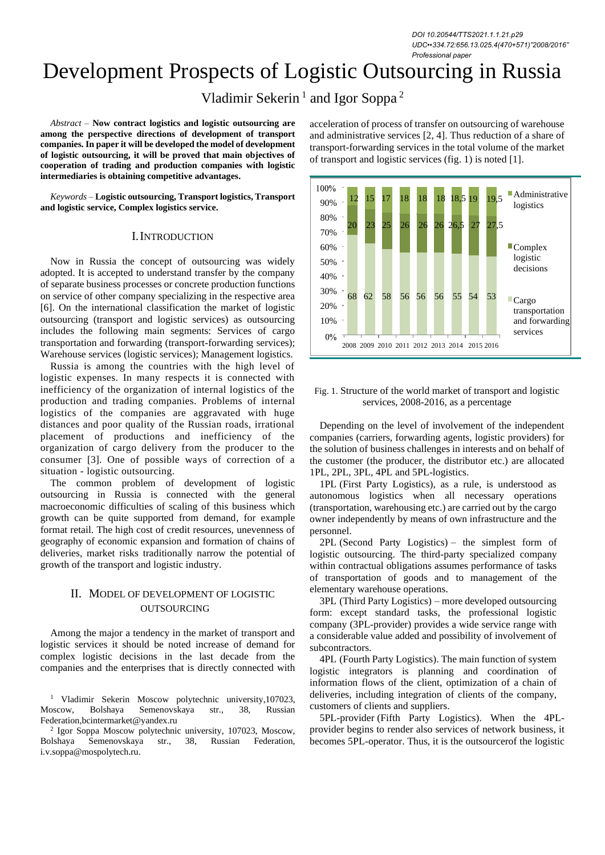*DOI 10.20544/TTS2021.1.1.21.p29 UDC••334.72:656.13.025.4(470+571)"2008/2016" Professional paper*

# Development Prospects of Logistic Outsourcing in Russia

Vladimir Sekerin<sup>1</sup> and Igor Soppa<sup>2</sup>

*Abstract –* **Now contract logistics and logistic outsourcing are among the perspective directions of development of transport companies. In paper it will be developed the model of development of logistic outsourcing, it will be proved that main objectives of cooperation of trading and production companies with logistic intermediaries is obtaining competitive advantages.** 

*Keywords –* **Logistic outsourcing, Transport logistics, Transport and logistic service, Complex logistics service.**

#### I.INTRODUCTION

Now in Russia the concept of outsourcing was widely adopted. It is accepted to understand transfer by the company of separate business processes or concrete production functions on service of other company specializing in the respective area [6]. On the international classification the market of logistic outsourcing (transport and logistic services) as outsourcing includes the following main segments: Services of cargo transportation and forwarding (transport-forwarding services); Warehouse services (logistic services); Management logistics.

Russia is among the countries with the high level of logistic expenses. In many respects it is connected with inefficiency of the organization of internal logistics of the production and trading companies. Problems of internal logistics of the companies are aggravated with huge distances and poor quality of the Russian roads, irrational placement of productions and inefficiency of the organization of cargo delivery from the producer to the consumer [3]. One of possible ways of correction of a situation - logistic outsourcing.

The common problem of development of logistic outsourcing in Russia is connected with the general macroeconomic difficulties of scaling of this business which growth can be quite supported from demand, for example format retail. The high cost of credit resources, unevenness of geography of economic expansion and formation of chains of deliveries, market risks traditionally narrow the potential of growth of the transport and logistic industry.

# II. MODEL OF DEVELOPMENT OF LOGISTIC OUTSOURCING

Among the major a tendency in the market of transport and logistic services it should be noted increase of demand for complex logistic decisions in the last decade from the companies and the enterprises that is directly connected with

<sup>1</sup> Vladimir Sekerin Moscow polytechnic university,107023, Moscow, Bolshaya Semenovskaya str., 38, Russian Federation,bcintermarket@yandex.ru

2 Igor Soppa Moscow polytechnic university, 107023, Moscow, Bolshaya Semenovskaya str., 38, Russian Federation, i.v.soppa@mospolytech.ru.

acceleration of process of transfer on outsourcing of warehouse and administrative services [2, 4]. Thus reduction of a share of transport-forwarding services in the total volume of the market of transport and logistic services (fig. 1) is noted [1].



#### Fig. 1. Structure of the world market of transport and logistic services, 2008-2016, as a percentage

Depending on the level of involvement of the independent companies (carriers, forwarding agents, logistic providers) for the solution of business challenges in interests and on behalf of the customer (the producer, the distributor etc.) are allocated 1PL, 2PL, 3PL, 4PL and 5PL-logistics.

1PL (First Party Logistics), as a rule, is understood as autonomous logistics when all necessary operations (transportation, warehousing etc.) are carried out by the cargo owner independently by means of own infrastructure and the personnel.

2PL (Second Party Logistics) – the simplest form of logistic outsourcing. The third-party specialized company within contractual obligations assumes performance of tasks of transportation of goods and to management of the elementary warehouse operations.

3PL (Third Party Logistics) – more developed outsourcing form: except standard tasks, the professional logistic company (3PL-provider) provides a wide service range with a considerable value added and possibility of involvement of subcontractors.

4PL (Fourth Party Logistics). The main function of system logistic integrators is planning and coordination of information flows of the client, optimization of a chain of deliveries, including integration of clients of the company, customers of clients and suppliers.

5PL-provider (Fifth Party Logistics). When the 4PLprovider begins to render also services of network business, it becomes 5PL-operator. Thus, it is the outsourcerof the logistic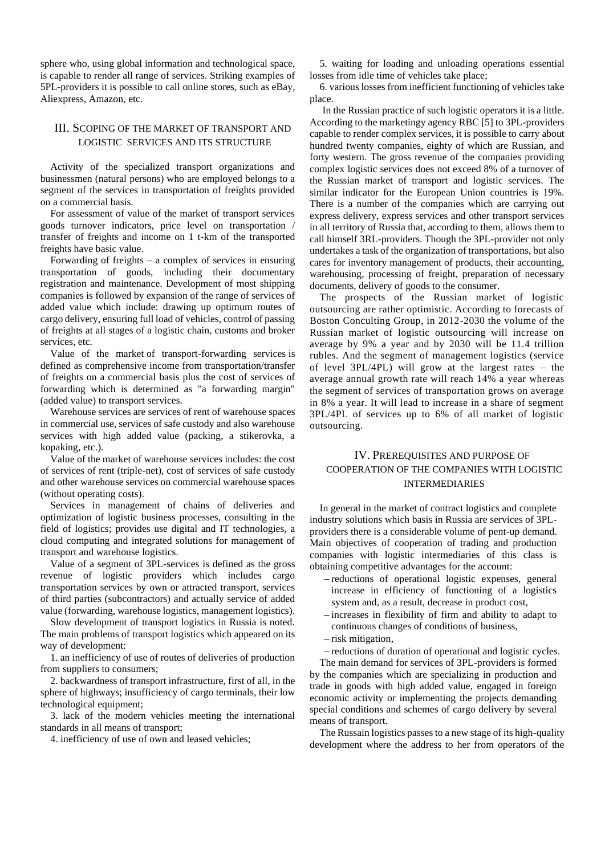sphere who, using global information and technological space, is capable to render all range of services. Striking examples of 5PL-providers it is possible to call online stores, such as eBay, Aliexpress, Amazon, etc.

# III. SCOPING OF THE MARKET OF TRANSPORT AND LOGISTIC SERVICES AND ITS STRUCTURE

Activity of the specialized transport organizations and businessmen (natural persons) who are employed belongs to a segment of the services in transportation of freights provided on a commercial basis.

For assessment of value of the market of transport services goods turnover indicators, price level on transportation / transfer of freights and income on 1 t-km of the transported freights have basic value.

Forwarding of freights – a complex of services in ensuring transportation of goods, including their documentary registration and maintenance. Development of most shipping companies is followed by expansion of the range of services of added value which include: drawing up optimum routes of cargo delivery, ensuring full load of vehicles, control of passing of freights at all stages of a logistic chain, customs and broker services, etc.

Value of the market of transport-forwarding services is defined as comprehensive income from transportation/transfer of freights on a commercial basis plus the cost of services of forwarding which is determined as "a forwarding margin" (added value) to transport services.

Warehouse services are services of rent of warehouse spaces in commercial use, services of safe custody and also warehouse services with high added value (packing, a stikerovka, a kopaking, etc.).

Value of the market of warehouse services includes: the cost of services of rent (triple-net), cost of services of safe custody and other warehouse services on commercial warehouse spaces (without operating costs).

Services in management of chains of deliveries and optimization of logistic business processes, consulting in the field of logistics; provides use digital and IT technologies, a cloud computing and integrated solutions for management of transport and warehouse logistics.

Value of a segment of 3PL-services is defined as the gross revenue of logistic providers which includes cargo transportation services by own or attracted transport, services of third parties (subcontractors) and actually service of added value (forwarding, warehouse logistics, management logistics).

Slow development of transport logistics in Russia is noted. The main problems of transport logistics which appeared on its way of development:

1. an inefficiency of use of routes of deliveries of production from suppliers to consumers;

2. backwardness of transport infrastructure, first of all, in the sphere of highways; insufficiency of cargo terminals, their low technological equipment;

3. lack of the modern vehicles meeting the international standards in all means of transport;

4. inefficiency of use of own and leased vehicles;

5. waiting for loading and unloading operations essential losses from idle time of vehicles take place;

6. various losses from inefficient functioning of vehicles take place.

In the Russian practice of such logistic operators it is a little. According to the marketingy agency RBC [5] to 3PL-providers capable to render complex services, it is possible to carry about hundred twenty companies, eighty of which are Russian, and forty western. The gross revenue of the companies providing complex logistic services does not exceed 8% of a turnover of the Russian market of transport and logistic services. The similar indicator for the European Union countries is 19%. There is a number of the companies which are carrying out express delivery, express services and other transport services in all territory of Russia that, according to them, allows them to call himself 3RL-providers. Though the 3PL-provider not only undertakes a task of the organization of transportations, but also cares for inventory management of products, their accounting, warehousing, processing of freight, preparation of necessary documents, delivery of goods to the consumer.

The prospects of the Russian market of logistic outsourcing are rather optimistic. According to forecasts of Boston Conculting Group, in 2012-2030 the volume of the Russian market of logistic outsourcing will increase on average by 9% a year and by 2030 will be 11.4 trillion rubles. And the segment of management logistics (service of level 3PL/4PL) will grow at the largest rates – the average annual growth rate will reach 14% a year whereas the segment of services of transportation grows on average in 8% a year. It will lead to increase in a share of segment 3PL/4PL of services up to 6% of all market of logistic outsourcing.

## IV. PREREQUISITES AND PURPOSE OF COOPERATION OF THE COMPANIES WITH LOGISTIC INTERMEDIARIES

In general in the market of contract logistics and complete industry solutions which basis in Russia are services of 3PLproviders there is a considerable volume of pent-up demand. Main objectives of cooperation of trading and production companies with logistic intermediaries of this class is obtaining competitive advantages for the account:

- − reductions of operational logistic expenses, general increase in efficiency of functioning of a logistics system and, as a result, decrease in product cost,
- − increases in flexibility of firm and ability to adapt to continuous changes of conditions of business,
- − risk mitigation,
- − reductions of duration of operational and logistic cycles.

The main demand for services of 3PL-providers is formed by the companies which are specializing in production and trade in goods with high added value, engaged in foreign economic activity or implementing the projects demanding special conditions and schemes of cargo delivery by several means of transport.

The Russain logistics passes to a new stage of its high-quality development where the address to her from operators of the